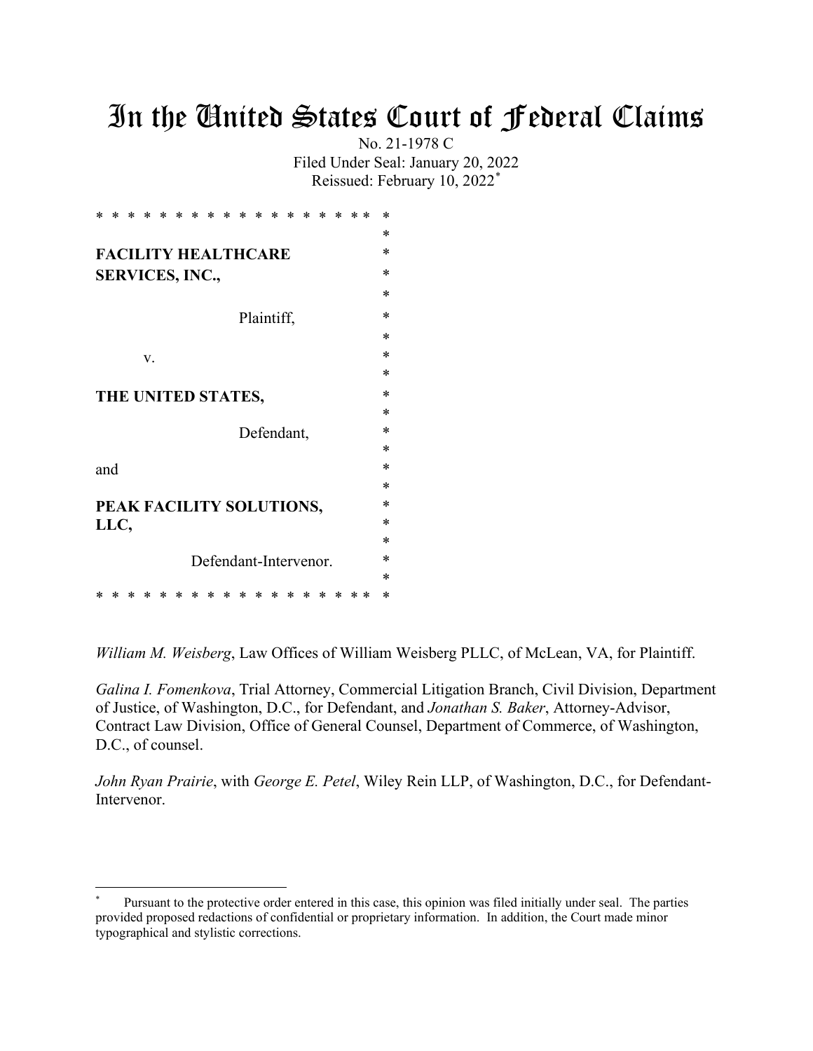# In the United States Court of Federal Claims

No. 21-1978 C Filed Under Seal: January 20, 2022 Reissued: February 10, 2022\*

| *                        | ж    |  | ×  | ×                          | × | × | ×                     | × | × |  |            |            |  | ж | * | *         |
|--------------------------|------|--|----|----------------------------|---|---|-----------------------|---|---|--|------------|------------|--|---|---|-----------|
|                          |      |  |    |                            |   |   |                       |   |   |  |            |            |  |   |   | *         |
|                          |      |  |    | <b>FACILITY HEALTHCARE</b> |   |   |                       |   |   |  |            |            |  |   |   | $\ast$    |
|                          |      |  |    | <b>SERVICES, INC.,</b>     |   |   |                       |   |   |  |            |            |  |   |   | $^{\ast}$ |
|                          |      |  |    |                            |   |   |                       |   |   |  |            |            |  |   |   | ×         |
|                          |      |  |    |                            |   |   |                       |   |   |  | Plaintiff, |            |  |   |   | $^{\ast}$ |
|                          |      |  |    |                            |   |   |                       |   |   |  |            |            |  |   |   | *         |
|                          |      |  | V. |                            |   |   |                       |   |   |  |            |            |  |   |   | ж         |
|                          |      |  |    |                            |   |   |                       |   |   |  |            |            |  |   |   | *         |
| THE UNITED STATES,       |      |  |    |                            |   |   |                       |   |   |  | *          |            |  |   |   |           |
|                          |      |  |    |                            |   |   |                       |   |   |  |            |            |  |   |   | ×         |
|                          |      |  |    |                            |   |   |                       |   |   |  |            | Defendant, |  |   |   | $^{\ast}$ |
|                          |      |  |    |                            |   |   |                       |   |   |  |            |            |  |   |   | ж         |
| and                      |      |  |    |                            |   |   |                       |   |   |  |            |            |  |   |   | ж         |
|                          |      |  |    |                            |   |   |                       |   |   |  |            |            |  |   |   | $\ast$    |
| PEAK FACILITY SOLUTIONS, |      |  |    |                            |   |   |                       |   |   |  |            | $\ast$     |  |   |   |           |
|                          | LLC, |  |    |                            |   |   |                       |   |   |  |            |            |  |   |   | *         |
|                          |      |  |    |                            |   |   |                       |   |   |  |            |            |  |   |   | *         |
|                          |      |  |    |                            |   |   | Defendant-Intervenor. |   |   |  |            |            |  |   |   | ж         |
|                          |      |  |    |                            |   |   |                       |   |   |  |            |            |  |   |   | ж         |
|                          |      |  |    |                            |   |   |                       |   |   |  |            |            |  |   |   | ∗         |

*William M. Weisberg*, Law Offices of William Weisberg PLLC, of McLean, VA, for Plaintiff.

*Galina I. Fomenkova*, Trial Attorney, Commercial Litigation Branch, Civil Division, Department of Justice, of Washington, D.C., for Defendant, and *Jonathan S. Baker*, Attorney-Advisor, Contract Law Division, Office of General Counsel, Department of Commerce, of Washington, D.C., of counsel.

*John Ryan Prairie*, with *George E. Petel*, Wiley Rein LLP, of Washington, D.C., for Defendant-Intervenor.

Pursuant to the protective order entered in this case, this opinion was filed initially under seal. The parties provided proposed redactions of confidential or proprietary information. In addition, the Court made minor typographical and stylistic corrections.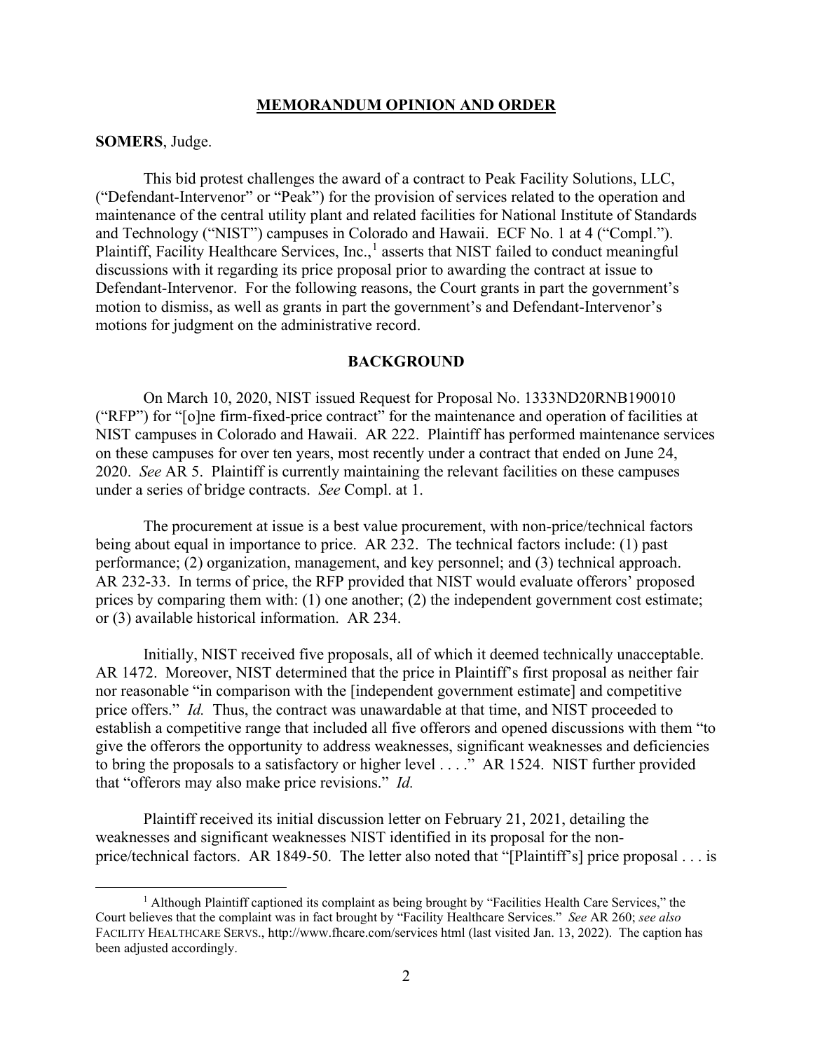#### **MEMORANDUM OPINION AND ORDER**

## **SOMERS**, Judge.

This bid protest challenges the award of a contract to Peak Facility Solutions, LLC, ("Defendant-Intervenor" or "Peak") for the provision of services related to the operation and maintenance of the central utility plant and related facilities for National Institute of Standards and Technology ("NIST") campuses in Colorado and Hawaii. ECF No. 1 at 4 ("Compl."). Plaintiff, Facility Healthcare Services, Inc.,<sup>1</sup> asserts that NIST failed to conduct meaningful discussions with it regarding its price proposal prior to awarding the contract at issue to Defendant-Intervenor. For the following reasons, the Court grants in part the government's motion to dismiss, as well as grants in part the government's and Defendant-Intervenor's motions for judgment on the administrative record.

### **BACKGROUND**

On March 10, 2020, NIST issued Request for Proposal No. 1333ND20RNB190010 ("RFP") for "[o]ne firm-fixed-price contract" for the maintenance and operation of facilities at NIST campuses in Colorado and Hawaii. AR 222. Plaintiff has performed maintenance services on these campuses for over ten years, most recently under a contract that ended on June 24, 2020. *See* AR 5. Plaintiff is currently maintaining the relevant facilities on these campuses under a series of bridge contracts. *See* Compl. at 1.

The procurement at issue is a best value procurement, with non-price/technical factors being about equal in importance to price. AR 232. The technical factors include: (1) past performance; (2) organization, management, and key personnel; and (3) technical approach. AR 232-33. In terms of price, the RFP provided that NIST would evaluate offerors' proposed prices by comparing them with: (1) one another; (2) the independent government cost estimate; or (3) available historical information. AR 234.

Initially, NIST received five proposals, all of which it deemed technically unacceptable. AR 1472. Moreover, NIST determined that the price in Plaintiff's first proposal as neither fair nor reasonable "in comparison with the [independent government estimate] and competitive price offers." *Id.* Thus, the contract was unawardable at that time, and NIST proceeded to establish a competitive range that included all five offerors and opened discussions with them "to give the offerors the opportunity to address weaknesses, significant weaknesses and deficiencies to bring the proposals to a satisfactory or higher level . . . ." AR 1524. NIST further provided that "offerors may also make price revisions." *Id.* 

Plaintiff received its initial discussion letter on February 21, 2021, detailing the weaknesses and significant weaknesses NIST identified in its proposal for the nonprice/technical factors. AR 1849-50. The letter also noted that "[Plaintiff's] price proposal . . . is

<sup>1</sup> Although Plaintiff captioned its complaint as being brought by "Facilities Health Care Services," the Court believes that the complaint was in fact brought by "Facility Healthcare Services." *See* AR 260; *see also* FACILITY HEALTHCARE SERVS., http://www.fhcare.com/services html (last visited Jan. 13, 2022). The caption has been adjusted accordingly.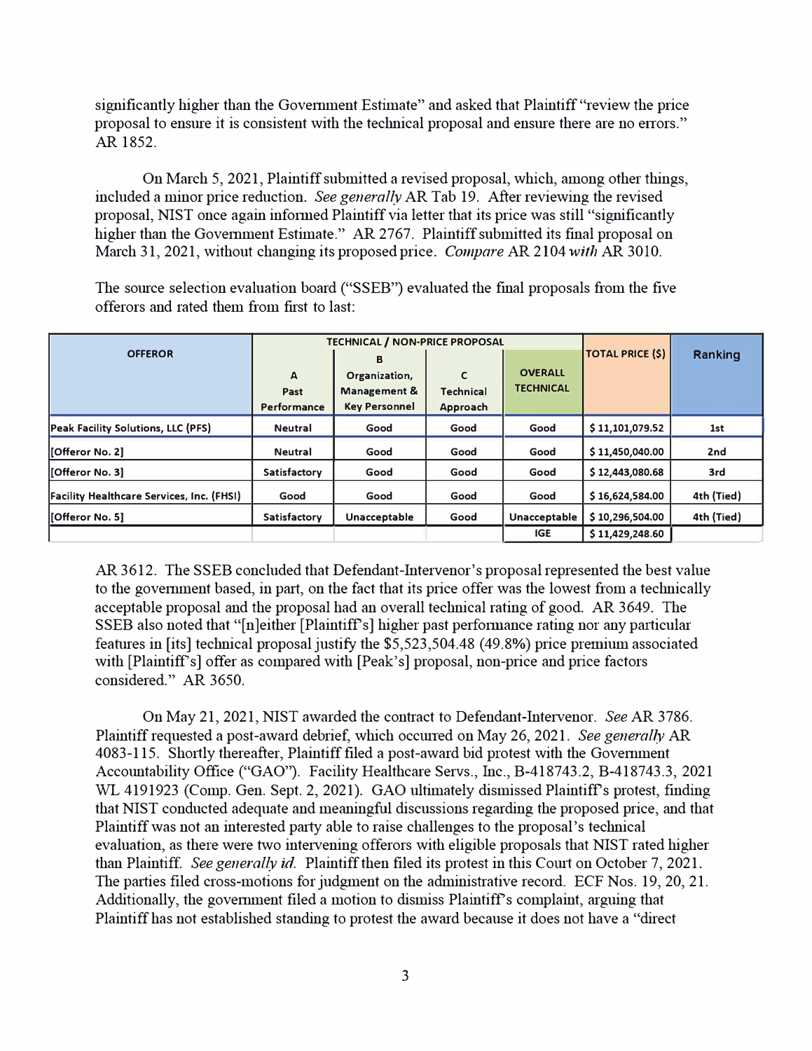significantly higher than the Government Estimate" and asked that Plaintiff "review the price proposal to ensure it is consistent with the technical proposal and ensure there are no errors." AR 1852.

On March 5, 2021, Plaintiff submitted a revised proposal, which, among other things, included a minor price reduction. *See generally* AR Tab 19. After reviewing the revised proposal, NIST once again informed Plaintiff via letter that its price was still "significantly higher than the Government Estimate." AR 2767. Plaintiff submitted its final proposal on March 31, 2021, without changing its proposed price. *Compare* AR 2104 *with* AR 3010.

The source selection evaluation board ("SSEB") evaluated the final proposals from the five offerors and rated them from first to last:

|                                                  |                     | <b>TECHNICAL / NON-PRICE PROPOSAL</b> |                  |                     |                         |            |
|--------------------------------------------------|---------------------|---------------------------------------|------------------|---------------------|-------------------------|------------|
| <b>OFFEROR</b>                                   |                     | B                                     |                  |                     | <b>TOTAL PRICE (\$)</b> | Ranking    |
|                                                  | A                   | Organization,                         | $\mathsf{C}$     | <b>OVERALL</b>      |                         |            |
|                                                  | Past                | Management &                          | <b>Technical</b> | <b>TECHNICAL</b>    |                         |            |
|                                                  | <b>Performance</b>  | <b>Key Personnel</b>                  | Approach         |                     |                         |            |
| <b>Peak Facility Solutions, LLC (PFS)</b>        | <b>Neutral</b>      | Good                                  | Good             | Good                | \$11,101,079.52         | 1st        |
| [Offeror No. 2]                                  | <b>Neutral</b>      | Good                                  | Good             | Good                | \$11,450,040.00         | 2nd        |
| [Offeror No. 3]                                  | <b>Satisfactory</b> | Good                                  | Good             | Good                | \$12,443,080.68         | 3rd        |
| <b>Facility Healthcare Services, Inc. (FHSI)</b> | Good                | Good                                  | Good             | Good                | \$16,624,584.00         | 4th (Tied) |
| [Offeror No. 5]                                  | <b>Satisfactory</b> | Unacceptable                          | Good             | <b>Unacceptable</b> | \$10,296,504.00         | 4th (Tied) |
|                                                  |                     |                                       |                  | <b>IGE</b>          | \$11,429,248.60         |            |

AR 3612. The SSEB concluded that Defendant-Intervenor's proposal represented the best value to the government based, in part, on the fact that its price offer was the lowest from a technically acceptable proposal and the proposal had an overall technical rating of good. AR 3649. The SSEB also noted that "[n]either [Plaintiff's] higher past performance rating nor any particular features in [its] technical proposal justify the \$5,523,504.48 (49.8%) price premium associated with [Plaintiff's] offer as compared with [Peak's] proposal, non-price and price factors considered." AR 3650.

On May 21, 2021, NIST awarded the contract to Defendant-Intervenor. *See* AR 3786. Plaintiff requested a post-award debrief, which occurred on May 26, 2021. *See generally AR* 4083-115. Shortly thereafter, Plaintiff filed a post-award bid protest with the Government Accountability Office ("GAO"). Facility Healthcare Servs., Inc., B-418743.2, B-418743.3, 2021 WL 4191923 (Comp. Gen. Sept. 2, 2021). GAO ultimately dismissed Plaintiff's protest, finding that NIST conducted adequate and meaningful discussions regarding the proposed price, and that Plaintiff was not an interested party able to raise challenges to the proposal's technical evaluation, as there were two intervening offerors with eligible proposals that NIST rated higher than Plaintiff. *See generally id.* Plaintiff then filed its protest in this Comt on October 7, 2021. The parties filed cross-motions for judgment on the administrative record. ECF Nos. 19, 20, 21. Additionally, the government filed a motion to dismiss Plaintiffs complaint, arguing that Plaintiff has not established standing to protest the award because it does not have a "direct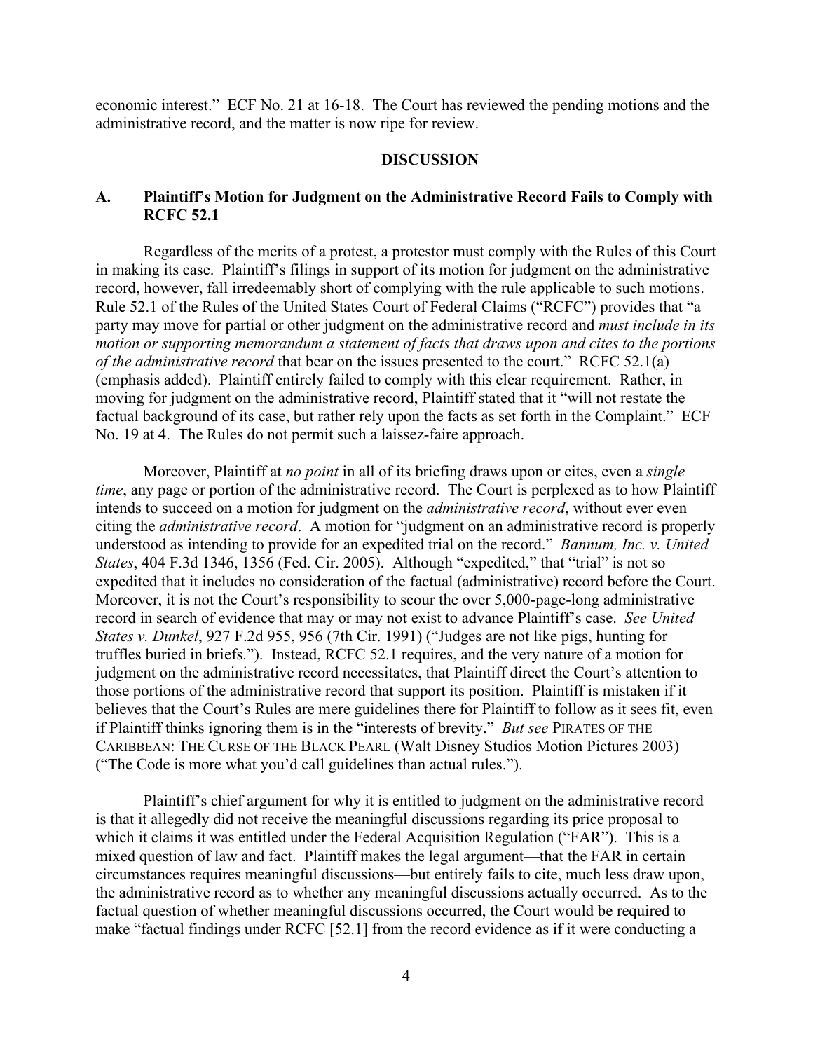economic interest." ECF No. 21 at 16-18. The Court has reviewed the pending motions and the administrative record, and the matter is now ripe for review.

#### **DISCUSSION**

# **A. Plaintiff's Motion for Judgment on the Administrative Record Fails to Comply with RCFC 52.1**

Regardless of the merits of a protest, a protestor must comply with the Rules of this Court in making its case. Plaintiff's filings in support of its motion for judgment on the administrative record, however, fall irredeemably short of complying with the rule applicable to such motions. Rule 52.1 of the Rules of the United States Court of Federal Claims ("RCFC") provides that "a party may move for partial or other judgment on the administrative record and *must include in its motion or supporting memorandum a statement of facts that draws upon and cites to the portions of the administrative record* that bear on the issues presented to the court." RCFC 52.1(a) (emphasis added). Plaintiff entirely failed to comply with this clear requirement. Rather, in moving for judgment on the administrative record, Plaintiff stated that it "will not restate the factual background of its case, but rather rely upon the facts as set forth in the Complaint." ECF No. 19 at 4. The Rules do not permit such a laissez-faire approach.

Moreover, Plaintiff at *no point* in all of its briefing draws upon or cites, even a *single time*, any page or portion of the administrative record. The Court is perplexed as to how Plaintiff intends to succeed on a motion for judgment on the *administrative record*, without ever even citing the *administrative record*. A motion for "judgment on an administrative record is properly understood as intending to provide for an expedited trial on the record." *Bannum, Inc. v. United States*, 404 F.3d 1346, 1356 (Fed. Cir. 2005). Although "expedited," that "trial" is not so expedited that it includes no consideration of the factual (administrative) record before the Court. Moreover, it is not the Court's responsibility to scour the over 5,000-page-long administrative record in search of evidence that may or may not exist to advance Plaintiff's case. *See United States v. Dunkel*, 927 F.2d 955, 956 (7th Cir. 1991) ("Judges are not like pigs, hunting for truffles buried in briefs."). Instead, RCFC 52.1 requires, and the very nature of a motion for judgment on the administrative record necessitates, that Plaintiff direct the Court's attention to those portions of the administrative record that support its position. Plaintiff is mistaken if it believes that the Court's Rules are mere guidelines there for Plaintiff to follow as it sees fit, even if Plaintiff thinks ignoring them is in the "interests of brevity." *But see* PIRATES OF THE CARIBBEAN: THE CURSE OF THE BLACK PEARL (Walt Disney Studios Motion Pictures 2003) ("The Code is more what you'd call guidelines than actual rules.").

Plaintiff's chief argument for why it is entitled to judgment on the administrative record is that it allegedly did not receive the meaningful discussions regarding its price proposal to which it claims it was entitled under the Federal Acquisition Regulation ("FAR"). This is a mixed question of law and fact. Plaintiff makes the legal argument—that the FAR in certain circumstances requires meaningful discussions—but entirely fails to cite, much less draw upon, the administrative record as to whether any meaningful discussions actually occurred. As to the factual question of whether meaningful discussions occurred, the Court would be required to make "factual findings under RCFC [52.1] from the record evidence as if it were conducting a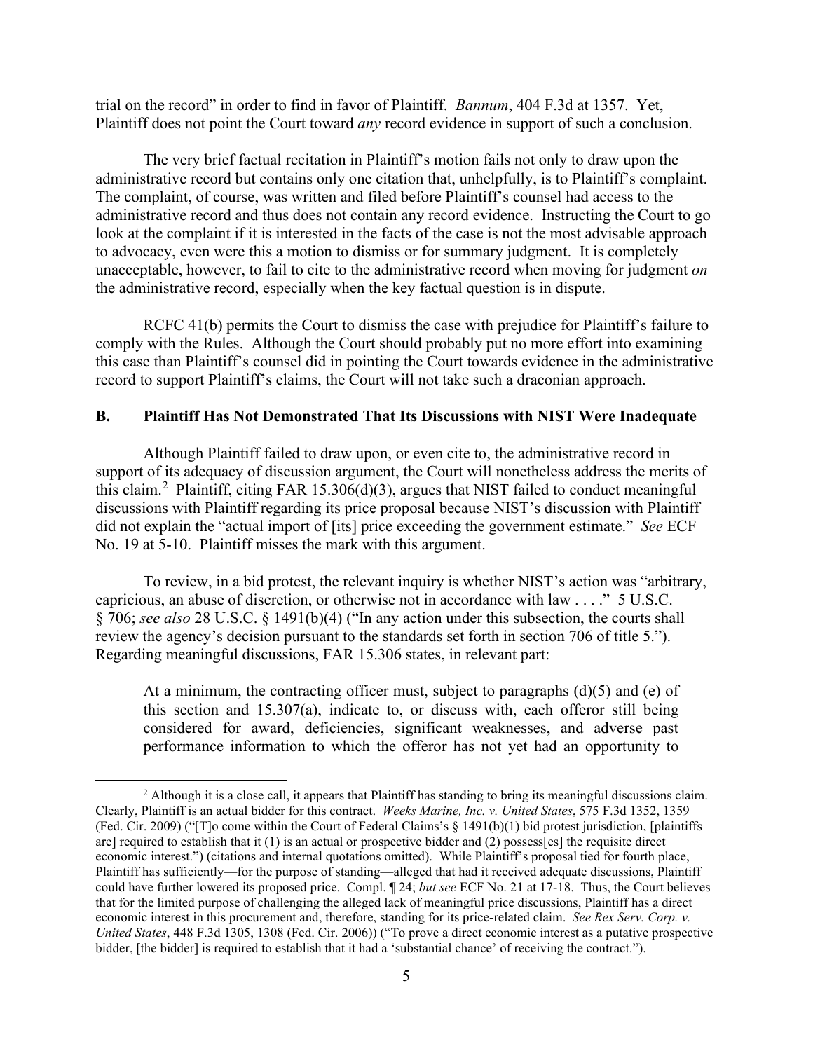trial on the record" in order to find in favor of Plaintiff. *Bannum*, 404 F.3d at 1357. Yet, Plaintiff does not point the Court toward *any* record evidence in support of such a conclusion.

The very brief factual recitation in Plaintiff's motion fails not only to draw upon the administrative record but contains only one citation that, unhelpfully, is to Plaintiff's complaint. The complaint, of course, was written and filed before Plaintiff's counsel had access to the administrative record and thus does not contain any record evidence. Instructing the Court to go look at the complaint if it is interested in the facts of the case is not the most advisable approach to advocacy, even were this a motion to dismiss or for summary judgment. It is completely unacceptable, however, to fail to cite to the administrative record when moving for judgment *on* the administrative record, especially when the key factual question is in dispute.

RCFC 41(b) permits the Court to dismiss the case with prejudice for Plaintiff's failure to comply with the Rules. Although the Court should probably put no more effort into examining this case than Plaintiff's counsel did in pointing the Court towards evidence in the administrative record to support Plaintiff's claims, the Court will not take such a draconian approach.

## **B. Plaintiff Has Not Demonstrated That Its Discussions with NIST Were Inadequate**

Although Plaintiff failed to draw upon, or even cite to, the administrative record in support of its adequacy of discussion argument, the Court will nonetheless address the merits of this claim.<sup>2</sup> Plaintiff, citing FAR 15.306(d)(3), argues that NIST failed to conduct meaningful discussions with Plaintiff regarding its price proposal because NIST's discussion with Plaintiff did not explain the "actual import of [its] price exceeding the government estimate." *See* ECF No. 19 at 5-10. Plaintiff misses the mark with this argument.

To review, in a bid protest, the relevant inquiry is whether NIST's action was "arbitrary, capricious, an abuse of discretion, or otherwise not in accordance with law . . . ." 5 U.S.C. § 706; *see also* 28 U.S.C. § 1491(b)(4) ("In any action under this subsection, the courts shall review the agency's decision pursuant to the standards set forth in section 706 of title 5."). Regarding meaningful discussions, FAR 15.306 states, in relevant part:

At a minimum, the contracting officer must, subject to paragraphs  $(d)(5)$  and (e) of this section and 15.307(a), indicate to, or discuss with, each offeror still being considered for award, deficiencies, significant weaknesses, and adverse past performance information to which the offeror has not yet had an opportunity to

<sup>&</sup>lt;sup>2</sup> Although it is a close call, it appears that Plaintiff has standing to bring its meaningful discussions claim. Clearly, Plaintiff is an actual bidder for this contract. *Weeks Marine, Inc. v. United States*, 575 F.3d 1352, 1359 (Fed. Cir. 2009) ("[T]o come within the Court of Federal Claims's § 1491(b)(1) bid protest jurisdiction, [plaintiffs are] required to establish that it  $(1)$  is an actual or prospective bidder and  $(2)$  possess[es] the requisite direct economic interest.") (citations and internal quotations omitted). While Plaintiff's proposal tied for fourth place, Plaintiff has sufficiently—for the purpose of standing—alleged that had it received adequate discussions, Plaintiff could have further lowered its proposed price. Compl. ¶ 24; *but see* ECF No. 21 at 17-18. Thus, the Court believes that for the limited purpose of challenging the alleged lack of meaningful price discussions, Plaintiff has a direct economic interest in this procurement and, therefore, standing for its price-related claim. *See Rex Serv. Corp. v. United States*, 448 F.3d 1305, 1308 (Fed. Cir. 2006)) ("To prove a direct economic interest as a putative prospective bidder, [the bidder] is required to establish that it had a 'substantial chance' of receiving the contract.").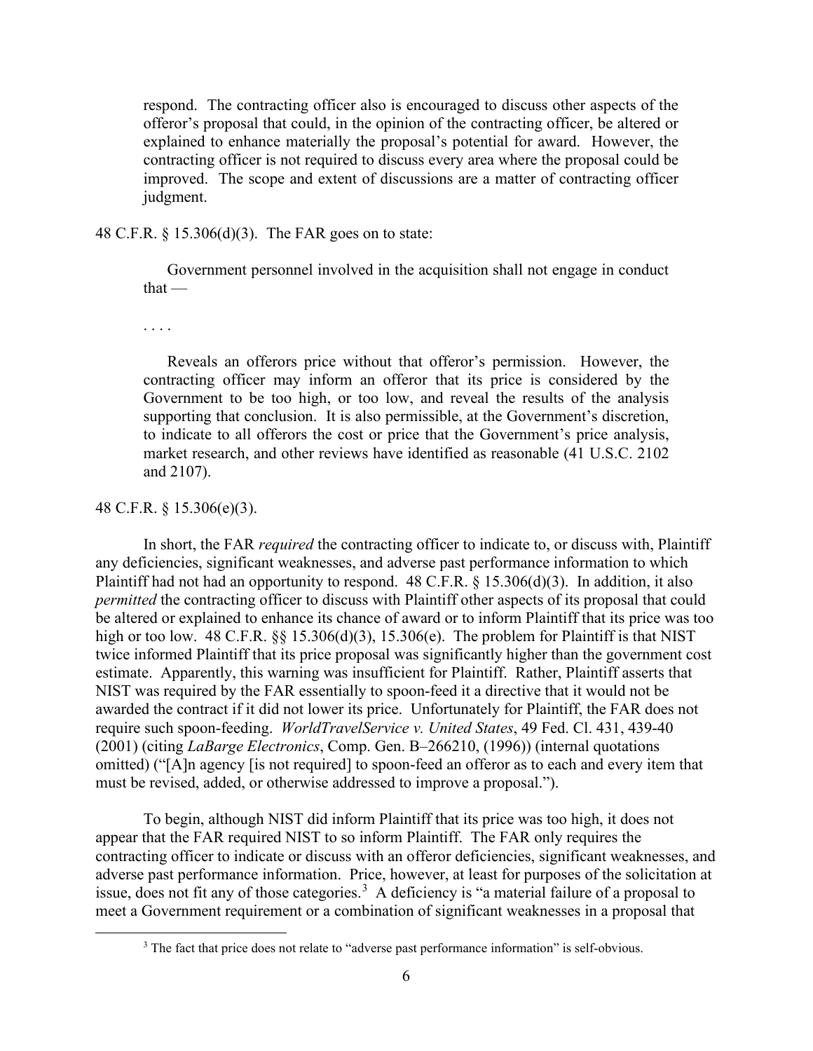respond. The contracting officer also is encouraged to discuss other aspects of the offeror's proposal that could, in the opinion of the contracting officer, be altered or explained to enhance materially the proposal's potential for award. However, the contracting officer is not required to discuss every area where the proposal could be improved. The scope and extent of discussions are a matter of contracting officer judgment.

48 C.F.R. § 15.306(d)(3). The FAR goes on to state:

Government personnel involved in the acquisition shall not engage in conduct  $that -$ 

. . . .

Reveals an offerors price without that offeror's permission. However, the contracting officer may inform an offeror that its price is considered by the Government to be too high, or too low, and reveal the results of the analysis supporting that conclusion. It is also permissible, at the Government's discretion, to indicate to all offerors the cost or price that the Government's price analysis, market research, and other reviews have identified as reasonable (41 U.S.C. 2102 and 2107).

#### 48 C.F.R. § 15.306(e)(3).

In short, the FAR *required* the contracting officer to indicate to, or discuss with, Plaintiff any deficiencies, significant weaknesses, and adverse past performance information to which Plaintiff had not had an opportunity to respond. 48 C.F.R. § 15.306(d)(3). In addition, it also *permitted* the contracting officer to discuss with Plaintiff other aspects of its proposal that could be altered or explained to enhance its chance of award or to inform Plaintiff that its price was too high or too low. 48 C.F.R.  $\S$  15.306(d)(3), 15.306(e). The problem for Plaintiff is that NIST twice informed Plaintiff that its price proposal was significantly higher than the government cost estimate. Apparently, this warning was insufficient for Plaintiff. Rather, Plaintiff asserts that NIST was required by the FAR essentially to spoon-feed it a directive that it would not be awarded the contract if it did not lower its price. Unfortunately for Plaintiff, the FAR does not require such spoon-feeding. *WorldTravelService v. United States*, 49 Fed. Cl. 431, 439-40 (2001) (citing *LaBarge Electronics*, Comp. Gen. B–266210, (1996)) (internal quotations omitted) ("[A]n agency [is not required] to spoon-feed an offeror as to each and every item that must be revised, added, or otherwise addressed to improve a proposal.").

To begin, although NIST did inform Plaintiff that its price was too high, it does not appear that the FAR required NIST to so inform Plaintiff. The FAR only requires the contracting officer to indicate or discuss with an offeror deficiencies, significant weaknesses, and adverse past performance information. Price, however, at least for purposes of the solicitation at issue, does not fit any of those categories.<sup>3</sup> A deficiency is "a material failure of a proposal to meet a Government requirement or a combination of significant weaknesses in a proposal that

<sup>&</sup>lt;sup>3</sup> The fact that price does not relate to "adverse past performance information" is self-obvious.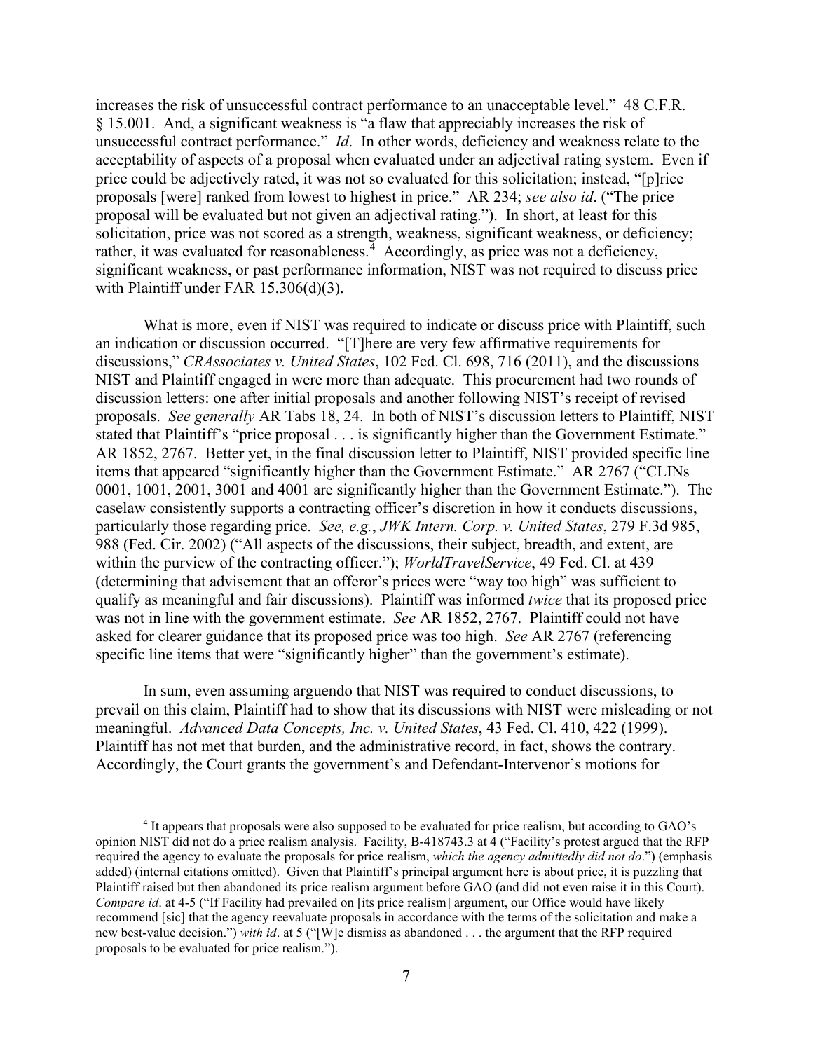increases the risk of unsuccessful contract performance to an unacceptable level." 48 C.F.R. § 15.001. And, a significant weakness is "a flaw that appreciably increases the risk of unsuccessful contract performance." *Id*. In other words, deficiency and weakness relate to the acceptability of aspects of a proposal when evaluated under an adjectival rating system. Even if price could be adjectively rated, it was not so evaluated for this solicitation; instead, "[p]rice proposals [were] ranked from lowest to highest in price." AR 234; *see also id*. ("The price proposal will be evaluated but not given an adjectival rating."). In short, at least for this solicitation, price was not scored as a strength, weakness, significant weakness, or deficiency; rather, it was evaluated for reasonableness.<sup>4</sup> Accordingly, as price was not a deficiency, significant weakness, or past performance information, NIST was not required to discuss price with Plaintiff under FAR 15.306(d)(3).

What is more, even if NIST was required to indicate or discuss price with Plaintiff, such an indication or discussion occurred. "[T]here are very few affirmative requirements for discussions," *CRAssociates v. United States*, 102 Fed. Cl. 698, 716 (2011), and the discussions NIST and Plaintiff engaged in were more than adequate. This procurement had two rounds of discussion letters: one after initial proposals and another following NIST's receipt of revised proposals. *See generally* AR Tabs 18, 24. In both of NIST's discussion letters to Plaintiff, NIST stated that Plaintiff's "price proposal . . . is significantly higher than the Government Estimate." AR 1852, 2767. Better yet, in the final discussion letter to Plaintiff, NIST provided specific line items that appeared "significantly higher than the Government Estimate." AR 2767 ("CLINs 0001, 1001, 2001, 3001 and 4001 are significantly higher than the Government Estimate."). The caselaw consistently supports a contracting officer's discretion in how it conducts discussions, particularly those regarding price. *See, e.g.*, *JWK Intern. Corp. v. United States*, 279 F.3d 985, 988 (Fed. Cir. 2002) ("All aspects of the discussions, their subject, breadth, and extent, are within the purview of the contracting officer."); *WorldTravelService*, 49 Fed. Cl. at 439 (determining that advisement that an offeror's prices were "way too high" was sufficient to qualify as meaningful and fair discussions). Plaintiff was informed *twice* that its proposed price was not in line with the government estimate. *See* AR 1852, 2767. Plaintiff could not have asked for clearer guidance that its proposed price was too high. *See* AR 2767 (referencing specific line items that were "significantly higher" than the government's estimate).

In sum, even assuming arguendo that NIST was required to conduct discussions, to prevail on this claim, Plaintiff had to show that its discussions with NIST were misleading or not meaningful. *Advanced Data Concepts, Inc. v. United States*, 43 Fed. Cl. 410, 422 (1999). Plaintiff has not met that burden, and the administrative record, in fact, shows the contrary. Accordingly, the Court grants the government's and Defendant-Intervenor's motions for

<sup>&</sup>lt;sup>4</sup> It appears that proposals were also supposed to be evaluated for price realism, but according to GAO's opinion NIST did not do a price realism analysis. Facility, B-418743.3 at 4 ("Facility's protest argued that the RFP required the agency to evaluate the proposals for price realism, *which the agency admittedly did not do*.") (emphasis added) (internal citations omitted). Given that Plaintiff's principal argument here is about price, it is puzzling that Plaintiff raised but then abandoned its price realism argument before GAO (and did not even raise it in this Court). *Compare id.* at 4-5 ("If Facility had prevailed on [its price realism] argument, our Office would have likely recommend [sic] that the agency reevaluate proposals in accordance with the terms of the solicitation and make a new best-value decision.") *with id*. at 5 ("[W]e dismiss as abandoned . . . the argument that the RFP required proposals to be evaluated for price realism.").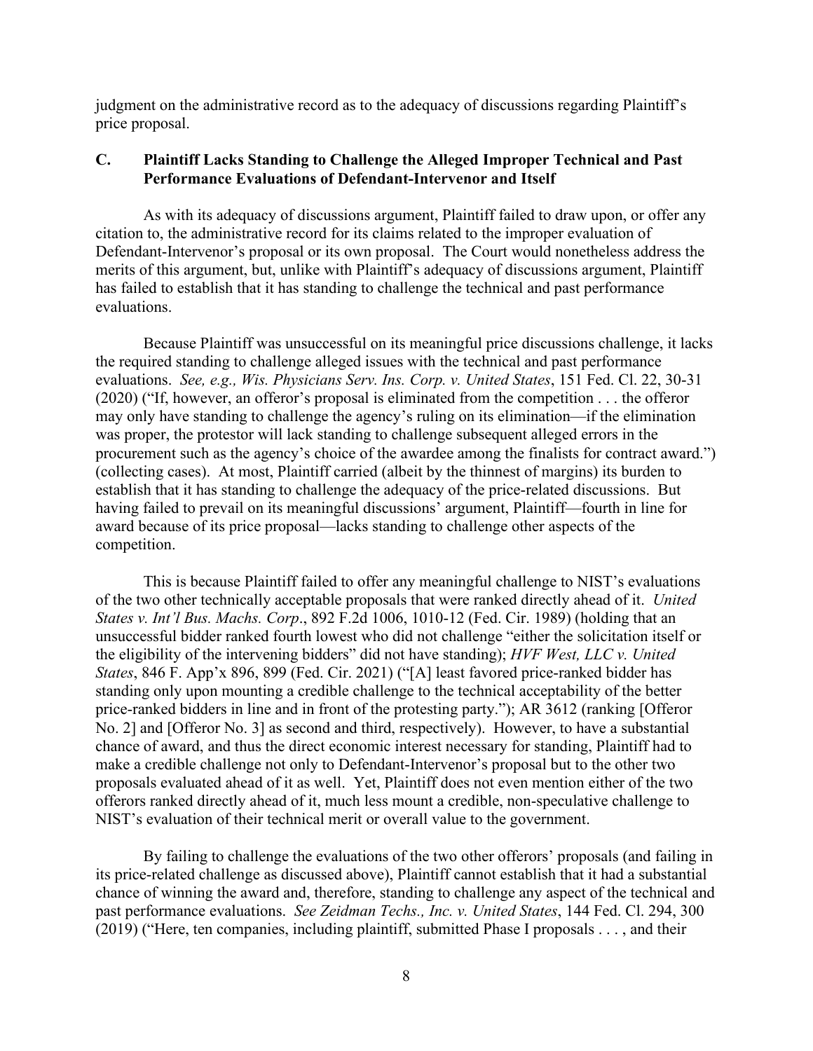judgment on the administrative record as to the adequacy of discussions regarding Plaintiff's price proposal.

## **C. Plaintiff Lacks Standing to Challenge the Alleged Improper Technical and Past Performance Evaluations of Defendant-Intervenor and Itself**

As with its adequacy of discussions argument, Plaintiff failed to draw upon, or offer any citation to, the administrative record for its claims related to the improper evaluation of Defendant-Intervenor's proposal or its own proposal. The Court would nonetheless address the merits of this argument, but, unlike with Plaintiff's adequacy of discussions argument, Plaintiff has failed to establish that it has standing to challenge the technical and past performance evaluations.

Because Plaintiff was unsuccessful on its meaningful price discussions challenge, it lacks the required standing to challenge alleged issues with the technical and past performance evaluations. *See, e.g., Wis. Physicians Serv. Ins. Corp. v. United States*, 151 Fed. Cl. 22, 30-31 (2020) ("If, however, an offeror's proposal is eliminated from the competition . . . the offeror may only have standing to challenge the agency's ruling on its elimination—if the elimination was proper, the protestor will lack standing to challenge subsequent alleged errors in the procurement such as the agency's choice of the awardee among the finalists for contract award.") (collecting cases). At most, Plaintiff carried (albeit by the thinnest of margins) its burden to establish that it has standing to challenge the adequacy of the price-related discussions. But having failed to prevail on its meaningful discussions' argument, Plaintiff—fourth in line for award because of its price proposal—lacks standing to challenge other aspects of the competition.

This is because Plaintiff failed to offer any meaningful challenge to NIST's evaluations of the two other technically acceptable proposals that were ranked directly ahead of it. *United States v. Int'l Bus. Machs. Corp*., 892 F.2d 1006, 1010-12 (Fed. Cir. 1989) (holding that an unsuccessful bidder ranked fourth lowest who did not challenge "either the solicitation itself or the eligibility of the intervening bidders" did not have standing); *HVF West, LLC v. United States*, 846 F. App'x 896, 899 (Fed. Cir. 2021) ("[A] least favored price-ranked bidder has standing only upon mounting a credible challenge to the technical acceptability of the better price-ranked bidders in line and in front of the protesting party."); AR 3612 (ranking [Offeror No. 2] and [Offeror No. 3] as second and third, respectively). However, to have a substantial chance of award, and thus the direct economic interest necessary for standing, Plaintiff had to make a credible challenge not only to Defendant-Intervenor's proposal but to the other two proposals evaluated ahead of it as well. Yet, Plaintiff does not even mention either of the two offerors ranked directly ahead of it, much less mount a credible, non-speculative challenge to NIST's evaluation of their technical merit or overall value to the government.

By failing to challenge the evaluations of the two other offerors' proposals (and failing in its price-related challenge as discussed above), Plaintiff cannot establish that it had a substantial chance of winning the award and, therefore, standing to challenge any aspect of the technical and past performance evaluations. *See Zeidman Techs., Inc. v. United States*, 144 Fed. Cl. 294, 300 (2019) ("Here, ten companies, including plaintiff, submitted Phase I proposals . . . , and their